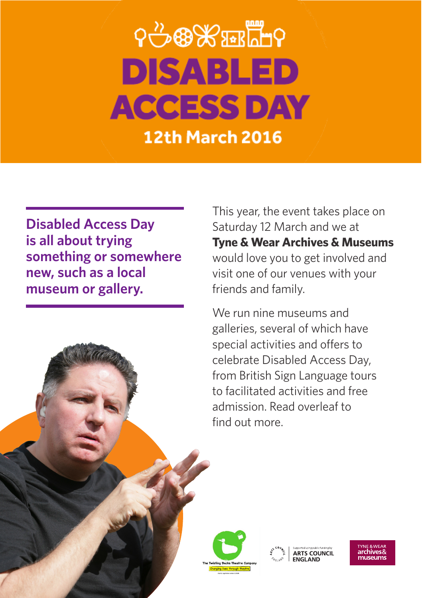# <u>ଵ୷ଌଌ</u>ୄୄୄୄୄୄୄୄୄ **DISABLED ACCESS DAY 12th March 2016**

**Disabled Access Day is all about trying something or somewhere new, such as a local museum or gallery.**

This year, the event takes place on Saturday 12 March and we at **Tyne & Wear Archives & Museums** would love you to get involved and visit one of our venues with your friends and family.

We run nine museums and galleries, several of which have special activities and offers to celebrate Disabled Access Day, from British Sign Language tours to facilitated activities and free admission. Read overleaf to find out more.